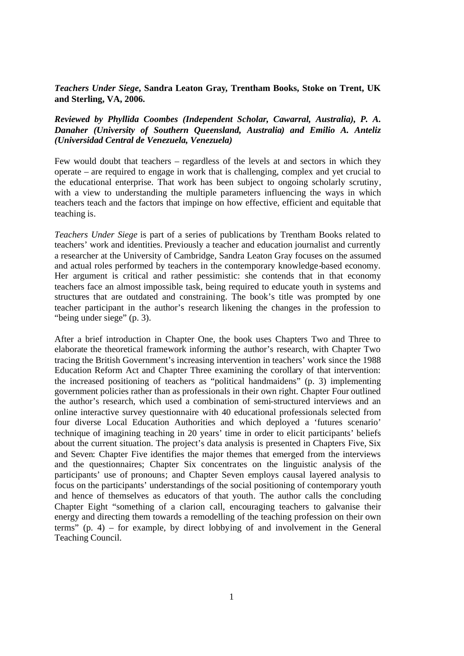## *Teachers Under Siege***, Sandra Leaton Gray, Trentham Books, Stoke on Trent, UK and Sterling, VA, 2006.**

## *Reviewed by Phyllida Coombes (Independent Scholar, Cawarral, Australia), P. A. Danaher (University of Southern Queensland, Australia) and Emilio A. Anteliz (Universidad Central de Venezuela, Venezuela)*

Few would doubt that teachers – regardless of the levels at and sectors in which they operate – are required to engage in work that is challenging, complex and yet crucial to the educational enterprise. That work has been subject to ongoing scholarly scrutiny, with a view to understanding the multiple parameters influencing the ways in which teachers teach and the factors that impinge on how effective, efficient and equitable that teaching is.

*Teachers Under Siege* is part of a series of publications by Trentham Books related to teachers' work and identities. Previously a teacher and education journalist and currently a researcher at the University of Cambridge, Sandra Leaton Gray focuses on the assumed and actual roles performed by teachers in the contemporary knowledge-based economy. Her argument is critical and rather pessimistic: she contends that in that economy teachers face an almost impossible task, being required to educate youth in systems and structures that are outdated and constraining. The book's title was prompted by one teacher participant in the author's research likening the changes in the profession to "being under siege" (p. 3).

After a brief introduction in Chapter One, the book uses Chapters Two and Three to elaborate the theoretical framework informing the author's research, with Chapter Two tracing the British Government's increasing intervention in teachers' work since the 1988 Education Reform Act and Chapter Three examining the corollary of that intervention: the increased positioning of teachers as "political handmaidens" (p. 3) implementing government policies rather than as professionals in their own right. Chapter Four outlined the author's research, which used a combination of semi-structured interviews and an online interactive survey questionnaire with 40 educational professionals selected from four diverse Local Education Authorities and which deployed a 'futures scenario' technique of imagining teaching in 20 years' time in order to elicit participants' beliefs about the current situation. The project's data analysis is presented in Chapters Five, Six and Seven: Chapter Five identifies the major themes that emerged from the interviews and the questionnaires; Chapter Six concentrates on the linguistic analysis of the participants' use of pronouns; and Chapter Seven employs causal layered analysis to focus on the participants' understandings of the social positioning of contemporary youth and hence of themselves as educators of that youth. The author calls the concluding Chapter Eight "something of a clarion call, encouraging teachers to galvanise their energy and directing them towards a remodelling of the teaching profession on their own terms"  $(p, 4)$  – for example, by direct lobbying of and involvement in the General Teaching Council.